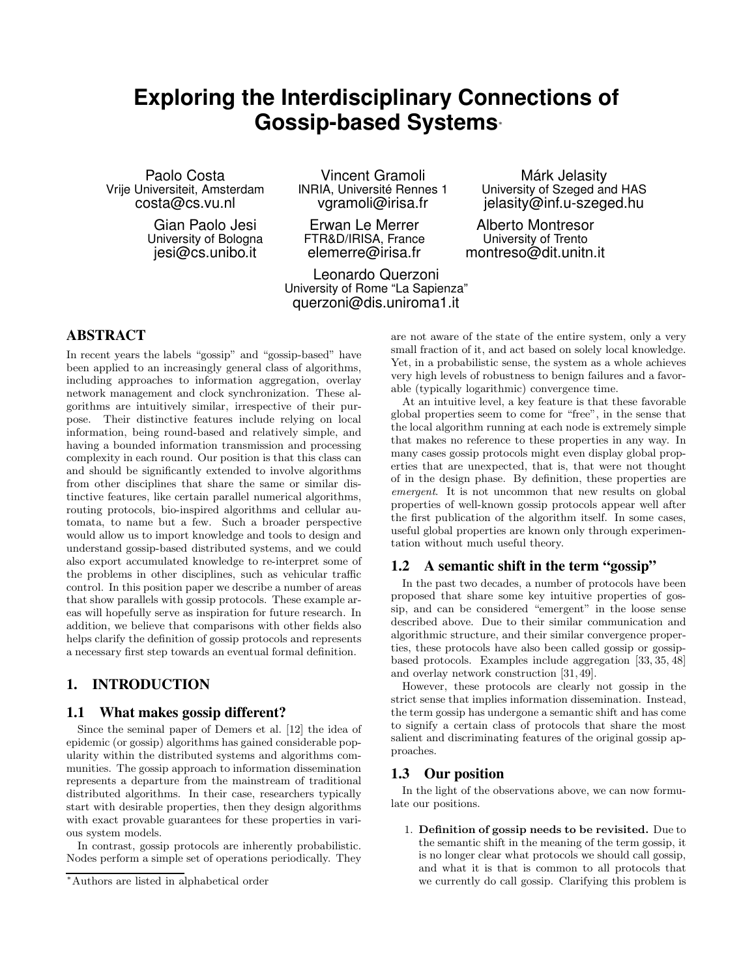# **Exploring the Interdisciplinary Connections of Gossip-based Systems**<sup>∗</sup>

Paolo Costa Vrije Universiteit, Amsterdam costa@cs.vu.nl

> Gian Paolo Jesi University of Bologna jesi@cs.unibo.it

Vincent Gramoli INRIA, Université Rennes 1 vgramoli@irisa.fr

Erwan Le Merrer FTR&D/IRISA, France elemerre@irisa.fr

Leonardo Querzoni University of Rome "La Sapienza" querzoni@dis.uniroma1.it

Márk Jelasity University of Szeged and HAS jelasity@inf.u-szeged.hu

Alberto Montresor University of Trento montreso@dit.unitn.it

# **ABSTRACT**

In recent years the labels "gossip" and "gossip-based" have been applied to an increasingly general class of algorithms, including approaches to information aggregation, overlay network management and clock synchronization. These algorithms are intuitively similar, irrespective of their purpose. Their distinctive features include relying on local information, being round-based and relatively simple, and having a bounded information transmission and processing complexity in each round. Our position is that this class can and should be significantly extended to involve algorithms from other disciplines that share the same or similar distinctive features, like certain parallel numerical algorithms, routing protocols, bio-inspired algorithms and cellular automata, to name but a few. Such a broader perspective would allow us to import knowledge and tools to design and understand gossip-based distributed systems, and we could also export accumulated knowledge to re-interpret some of the problems in other disciplines, such as vehicular traffic control. In this position paper we describe a number of areas that show parallels with gossip protocols. These example areas will hopefully serve as inspiration for future research. In addition, we believe that comparisons with other fields also helps clarify the definition of gossip protocols and represents a necessary first step towards an eventual formal definition.

# **1. INTRODUCTION**

## **1.1 What makes gossip different?**

Since the seminal paper of Demers et al. [12] the idea of epidemic (or gossip) algorithms has gained considerable popularity within the distributed systems and algorithms communities. The gossip approach to information dissemination represents a departure from the mainstream of traditional distributed algorithms. In their case, researchers typically start with desirable properties, then they design algorithms with exact provable guarantees for these properties in various system models.

In contrast, gossip protocols are inherently probabilistic. Nodes perform a simple set of operations periodically. They are not aware of the state of the entire system, only a very small fraction of it, and act based on solely local knowledge. Yet, in a probabilistic sense, the system as a whole achieves very high levels of robustness to benign failures and a favorable (typically logarithmic) convergence time.

At an intuitive level, a key feature is that these favorable global properties seem to come for "free", in the sense that the local algorithm running at each node is extremely simple that makes no reference to these properties in any way. In many cases gossip protocols might even display global properties that are unexpected, that is, that were not thought of in the design phase. By definition, these properties are emergent. It is not uncommon that new results on global properties of well-known gossip protocols appear well after the first publication of the algorithm itself. In some cases, useful global properties are known only through experimentation without much useful theory.

#### **1.2 A semantic shift in the term "gossip"**

In the past two decades, a number of protocols have been proposed that share some key intuitive properties of gossip, and can be considered "emergent" in the loose sense described above. Due to their similar communication and algorithmic structure, and their similar convergence properties, these protocols have also been called gossip or gossipbased protocols. Examples include aggregation [33, 35, 48] and overlay network construction [31, 49].

However, these protocols are clearly not gossip in the strict sense that implies information dissemination. Instead, the term gossip has undergone a semantic shift and has come to signify a certain class of protocols that share the most salient and discriminating features of the original gossip approaches.

## **1.3 Our position**

In the light of the observations above, we can now formulate our positions.

1. Definition of gossip needs to be revisited. Due to the semantic shift in the meaning of the term gossip, it is no longer clear what protocols we should call gossip, and what it is that is common to all protocols that we currently do call gossip. Clarifying this problem is

<sup>∗</sup>Authors are listed in alphabetical order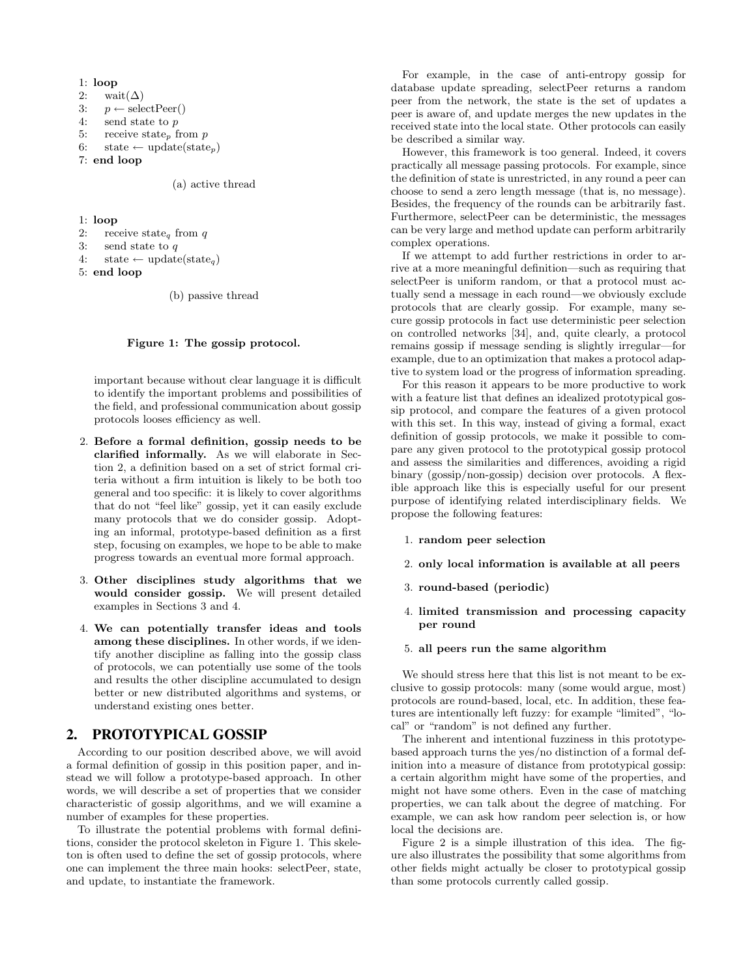1:  $loop$ <br>2: wa 2: wait $(\Delta)$ <br>3:  $p \leftarrow$  sele 3:  $p \leftarrow \text{selectPeer}()$ <br>4: send state to p 4: send state to  $p$ <br>5: receive state, f receive state<sub>p</sub> from  $p$ 6: state  $\leftarrow$  update(state<sub>n</sub>)

7: end loop

(a) active thread

1: loop

- 2: receive state<sub>q</sub> from q
- 3: send state to q
- 4: state  $\leftarrow$  update(state<sub>q</sub>)
- 5: end loop

```
(b) passive thread
```
#### Figure 1: The gossip protocol.

important because without clear language it is difficult to identify the important problems and possibilities of the field, and professional communication about gossip protocols looses efficiency as well.

- 2. Before a formal definition, gossip needs to be clarified informally. As we will elaborate in Section 2, a definition based on a set of strict formal criteria without a firm intuition is likely to be both too general and too specific: it is likely to cover algorithms that do not "feel like" gossip, yet it can easily exclude many protocols that we do consider gossip. Adopting an informal, prototype-based definition as a first step, focusing on examples, we hope to be able to make progress towards an eventual more formal approach.
- 3. Other disciplines study algorithms that we would consider gossip. We will present detailed examples in Sections 3 and 4.
- 4. We can potentially transfer ideas and tools among these disciplines. In other words, if we identify another discipline as falling into the gossip class of protocols, we can potentially use some of the tools and results the other discipline accumulated to design better or new distributed algorithms and systems, or understand existing ones better.

## **2. PROTOTYPICAL GOSSIP**

According to our position described above, we will avoid a formal definition of gossip in this position paper, and instead we will follow a prototype-based approach. In other words, we will describe a set of properties that we consider characteristic of gossip algorithms, and we will examine a number of examples for these properties.

To illustrate the potential problems with formal definitions, consider the protocol skeleton in Figure 1. This skeleton is often used to define the set of gossip protocols, where one can implement the three main hooks: selectPeer, state, and update, to instantiate the framework.

For example, in the case of anti-entropy gossip for database update spreading, selectPeer returns a random peer from the network, the state is the set of updates a peer is aware of, and update merges the new updates in the received state into the local state. Other protocols can easily be described a similar way.

However, this framework is too general. Indeed, it covers practically all message passing protocols. For example, since the definition of state is unrestricted, in any round a peer can choose to send a zero length message (that is, no message). Besides, the frequency of the rounds can be arbitrarily fast. Furthermore, selectPeer can be deterministic, the messages can be very large and method update can perform arbitrarily complex operations.

If we attempt to add further restrictions in order to arrive at a more meaningful definition—such as requiring that selectPeer is uniform random, or that a protocol must actually send a message in each round—we obviously exclude protocols that are clearly gossip. For example, many secure gossip protocols in fact use deterministic peer selection on controlled networks [34], and, quite clearly, a protocol remains gossip if message sending is slightly irregular—for example, due to an optimization that makes a protocol adaptive to system load or the progress of information spreading.

For this reason it appears to be more productive to work with a feature list that defines an idealized prototypical gossip protocol, and compare the features of a given protocol with this set. In this way, instead of giving a formal, exact definition of gossip protocols, we make it possible to compare any given protocol to the prototypical gossip protocol and assess the similarities and differences, avoiding a rigid binary (gossip/non-gossip) decision over protocols. A flexible approach like this is especially useful for our present purpose of identifying related interdisciplinary fields. We propose the following features:

- 1. random peer selection
- 2. only local information is available at all peers
- 3. round-based (periodic)
- 4. limited transmission and processing capacity per round

#### 5. all peers run the same algorithm

We should stress here that this list is not meant to be exclusive to gossip protocols: many (some would argue, most) protocols are round-based, local, etc. In addition, these features are intentionally left fuzzy: for example "limited", "local" or "random" is not defined any further.

The inherent and intentional fuzziness in this prototypebased approach turns the yes/no distinction of a formal definition into a measure of distance from prototypical gossip: a certain algorithm might have some of the properties, and might not have some others. Even in the case of matching properties, we can talk about the degree of matching. For example, we can ask how random peer selection is, or how local the decisions are.

Figure 2 is a simple illustration of this idea. The figure also illustrates the possibility that some algorithms from other fields might actually be closer to prototypical gossip than some protocols currently called gossip.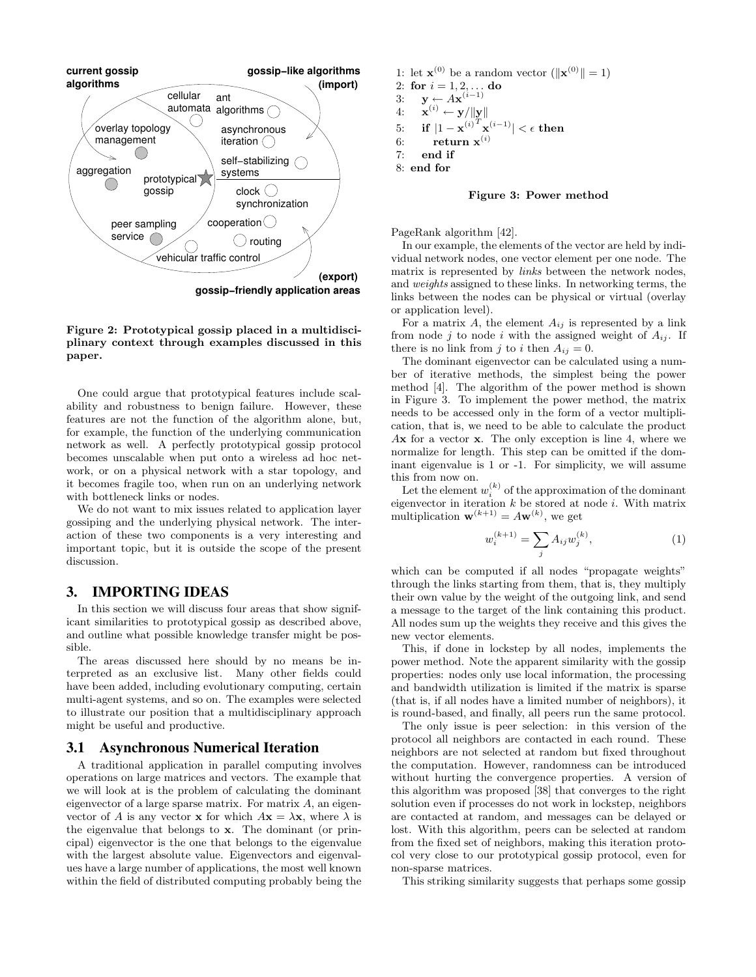

#### Figure 2: Prototypical gossip placed in a multidisciplinary context through examples discussed in this paper.

One could argue that prototypical features include scalability and robustness to benign failure. However, these features are not the function of the algorithm alone, but, for example, the function of the underlying communication network as well. A perfectly prototypical gossip protocol becomes unscalable when put onto a wireless ad hoc network, or on a physical network with a star topology, and it becomes fragile too, when run on an underlying network with bottleneck links or nodes.

We do not want to mix issues related to application layer gossiping and the underlying physical network. The interaction of these two components is a very interesting and important topic, but it is outside the scope of the present discussion.

#### **3. IMPORTING IDEAS**

In this section we will discuss four areas that show significant similarities to prototypical gossip as described above, and outline what possible knowledge transfer might be possible.

The areas discussed here should by no means be interpreted as an exclusive list. Many other fields could have been added, including evolutionary computing, certain multi-agent systems, and so on. The examples were selected to illustrate our position that a multidisciplinary approach might be useful and productive.

#### **3.1 Asynchronous Numerical Iteration**

A traditional application in parallel computing involves operations on large matrices and vectors. The example that we will look at is the problem of calculating the dominant eigenvector of a large sparse matrix. For matrix  $A$ , an eigenvector of A is any vector **x** for which  $A\mathbf{x} = \lambda \mathbf{x}$ , where  $\lambda$  is the eigenvalue that belongs to x. The dominant (or principal) eigenvector is the one that belongs to the eigenvalue with the largest absolute value. Eigenvectors and eigenvalues have a large number of applications, the most well known within the field of distributed computing probably being the

\n- 1: let 
$$
\mathbf{x}^{(0)}
$$
 be a random vector  $(\|\mathbf{x}^{(0)}\| = 1)$
\n- 2: **for**  $i = 1, 2, \ldots$  **do**
\n- 3:  $\mathbf{y} \leftarrow A\mathbf{x}^{(i-1)}$
\n- 4:  $\mathbf{x}^{(i)} \leftarrow \mathbf{y}/\|\mathbf{y}\|$
\n- 5: if  $|1 - \mathbf{x}^{(i)T}\mathbf{x}^{(i-1)}| < \epsilon$  then
\n- 6: **return**  $\mathbf{x}^{(i)}$
\n- 7: **end if**
\n- 8: **end for**
\n

#### Figure 3: Power method

PageRank algorithm [42].

In our example, the elements of the vector are held by individual network nodes, one vector element per one node. The matrix is represented by links between the network nodes, and weights assigned to these links. In networking terms, the links between the nodes can be physical or virtual (overlay or application level).

For a matrix  $A$ , the element  $A_{ij}$  is represented by a link from node j to node i with the assigned weight of  $A_{ij}$ . If there is no link from j to i then  $A_{ij} = 0$ .

The dominant eigenvector can be calculated using a number of iterative methods, the simplest being the power method [4]. The algorithm of the power method is shown in Figure 3. To implement the power method, the matrix needs to be accessed only in the form of a vector multiplication, that is, we need to be able to calculate the product  $A$ **x** for a vector **x**. The only exception is line 4, where we normalize for length. This step can be omitted if the dominant eigenvalue is 1 or -1. For simplicity, we will assume this from now on.

Let the element  $w_i^{(k)}$  of the approximation of the dominant Let the element  $w_i$  of the approximation of the dominant<br>eigenvector in iteration k be stored at node i. With matrix multiplication  $\mathbf{w}^{(k+1)} = A\mathbf{w}^{(k)}$ , we get

$$
w_i^{(k+1)} = \sum_j A_{ij} w_j^{(k)},\tag{1}
$$

which can be computed if all nodes "propagate weights" through the links starting from them, that is, they multiply their own value by the weight of the outgoing link, and send a message to the target of the link containing this product. All nodes sum up the weights they receive and this gives the new vector elements.

This, if done in lockstep by all nodes, implements the power method. Note the apparent similarity with the gossip properties: nodes only use local information, the processing and bandwidth utilization is limited if the matrix is sparse (that is, if all nodes have a limited number of neighbors), it is round-based, and finally, all peers run the same protocol.

The only issue is peer selection: in this version of the protocol all neighbors are contacted in each round. These neighbors are not selected at random but fixed throughout the computation. However, randomness can be introduced without hurting the convergence properties. A version of this algorithm was proposed [38] that converges to the right solution even if processes do not work in lockstep, neighbors are contacted at random, and messages can be delayed or lost. With this algorithm, peers can be selected at random from the fixed set of neighbors, making this iteration protocol very close to our prototypical gossip protocol, even for non-sparse matrices.

This striking similarity suggests that perhaps some gossip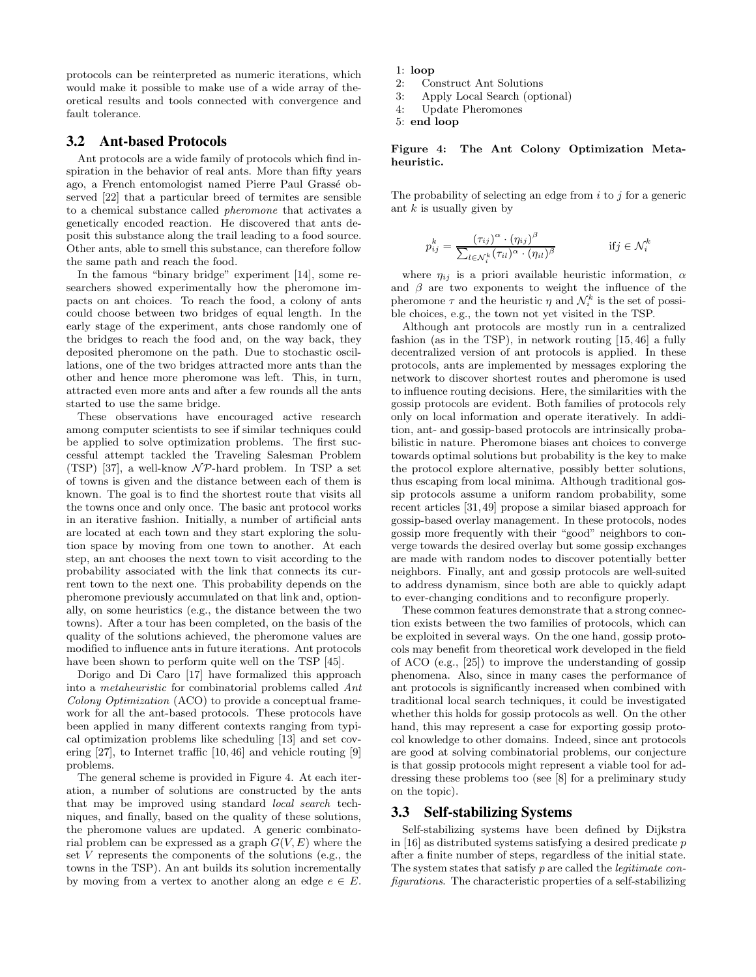protocols can be reinterpreted as numeric iterations, which would make it possible to make use of a wide array of theoretical results and tools connected with convergence and fault tolerance.

## **3.2 Ant-based Protocols**

Ant protocols are a wide family of protocols which find inspiration in the behavior of real ants. More than fifty years ago, a French entomologist named Pierre Paul Grassé observed [22] that a particular breed of termites are sensible to a chemical substance called pheromone that activates a genetically encoded reaction. He discovered that ants deposit this substance along the trail leading to a food source. Other ants, able to smell this substance, can therefore follow the same path and reach the food.

In the famous "binary bridge" experiment [14], some researchers showed experimentally how the pheromone impacts on ant choices. To reach the food, a colony of ants could choose between two bridges of equal length. In the early stage of the experiment, ants chose randomly one of the bridges to reach the food and, on the way back, they deposited pheromone on the path. Due to stochastic oscillations, one of the two bridges attracted more ants than the other and hence more pheromone was left. This, in turn, attracted even more ants and after a few rounds all the ants started to use the same bridge.

These observations have encouraged active research among computer scientists to see if similar techniques could be applied to solve optimization problems. The first successful attempt tackled the Traveling Salesman Problem (TSP) [37], a well-know  $\mathcal{NP}$ -hard problem. In TSP a set of towns is given and the distance between each of them is known. The goal is to find the shortest route that visits all the towns once and only once. The basic ant protocol works in an iterative fashion. Initially, a number of artificial ants are located at each town and they start exploring the solution space by moving from one town to another. At each step, an ant chooses the next town to visit according to the probability associated with the link that connects its current town to the next one. This probability depends on the pheromone previously accumulated on that link and, optionally, on some heuristics (e.g., the distance between the two towns). After a tour has been completed, on the basis of the quality of the solutions achieved, the pheromone values are modified to influence ants in future iterations. Ant protocols have been shown to perform quite well on the TSP [45].

Dorigo and Di Caro [17] have formalized this approach into a metaheuristic for combinatorial problems called Ant Colony Optimization (ACO) to provide a conceptual framework for all the ant-based protocols. These protocols have been applied in many different contexts ranging from typical optimization problems like scheduling [13] and set covering [27], to Internet traffic [10, 46] and vehicle routing [9] problems.

The general scheme is provided in Figure 4. At each iteration, a number of solutions are constructed by the ants that may be improved using standard local search techniques, and finally, based on the quality of these solutions, the pheromone values are updated. A generic combinatorial problem can be expressed as a graph  $G(V, E)$  where the set V represents the components of the solutions (e.g., the towns in the TSP). An ant builds its solution incrementally by moving from a vertex to another along an edge  $e \in E$ .

- 1: loop
- 2: Construct Ant Solutions
- 3: Apply Local Search (optional)
- 4: Update Pheromones
- 5: end loop

#### Figure 4: The Ant Colony Optimization Metaheuristic.

The probability of selecting an edge from  $i$  to  $j$  for a generic ant  $k$  is usually given by

$$
p_{ij}^k = \frac{(\tau_{ij})^\alpha \cdot (\eta_{ij})^\beta}{\sum_{l \in \mathcal{N}_i^k} (\tau_{il})^\alpha \cdot (\eta_{il})^\beta} \quad \text{if } j \in \mathcal{N}_i^k
$$

where  $\eta_{ij}$  is a priori available heuristic information,  $\alpha$ and  $\beta$  are two exponents to weight the influence of the pheromone  $\tau$  and the heuristic  $\eta$  and  $\mathcal{N}_i^k$  is the set of possible choices, e.g., the town not yet visited in the TSP.

Although ant protocols are mostly run in a centralized fashion (as in the TSP), in network routing [15, 46] a fully decentralized version of ant protocols is applied. In these protocols, ants are implemented by messages exploring the network to discover shortest routes and pheromone is used to influence routing decisions. Here, the similarities with the gossip protocols are evident. Both families of protocols rely only on local information and operate iteratively. In addition, ant- and gossip-based protocols are intrinsically probabilistic in nature. Pheromone biases ant choices to converge towards optimal solutions but probability is the key to make the protocol explore alternative, possibly better solutions, thus escaping from local minima. Although traditional gossip protocols assume a uniform random probability, some recent articles [31, 49] propose a similar biased approach for gossip-based overlay management. In these protocols, nodes gossip more frequently with their "good" neighbors to converge towards the desired overlay but some gossip exchanges are made with random nodes to discover potentially better neighbors. Finally, ant and gossip protocols are well-suited to address dynamism, since both are able to quickly adapt to ever-changing conditions and to reconfigure properly.

These common features demonstrate that a strong connection exists between the two families of protocols, which can be exploited in several ways. On the one hand, gossip protocols may benefit from theoretical work developed in the field of ACO (e.g., [25]) to improve the understanding of gossip phenomena. Also, since in many cases the performance of ant protocols is significantly increased when combined with traditional local search techniques, it could be investigated whether this holds for gossip protocols as well. On the other hand, this may represent a case for exporting gossip protocol knowledge to other domains. Indeed, since ant protocols are good at solving combinatorial problems, our conjecture is that gossip protocols might represent a viable tool for addressing these problems too (see [8] for a preliminary study on the topic).

## **3.3 Self-stabilizing Systems**

Self-stabilizing systems have been defined by Dijkstra in [16] as distributed systems satisfying a desired predicate  $p$ after a finite number of steps, regardless of the initial state. The system states that satisfy p are called the legitimate configurations. The characteristic properties of a self-stabilizing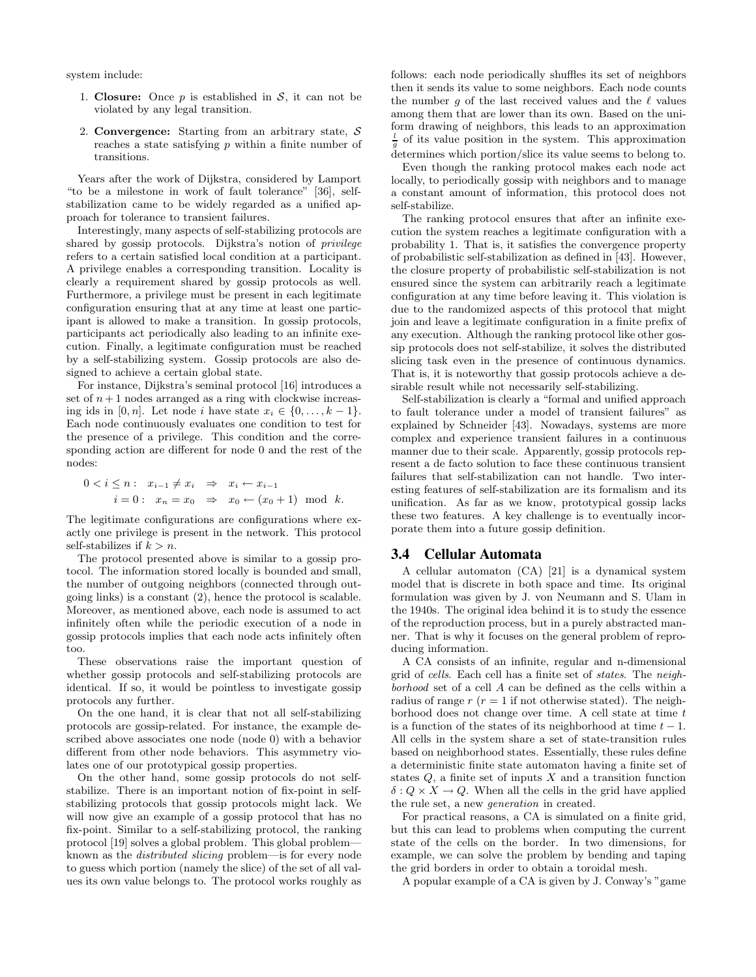system include:

- 1. Closure: Once  $p$  is established in  $S$ , it can not be violated by any legal transition.
- 2. Convergence: Starting from an arbitrary state,  $S$ reaches a state satisfying  $p$  within a finite number of transitions.

Years after the work of Dijkstra, considered by Lamport "to be a milestone in work of fault tolerance" [36], selfstabilization came to be widely regarded as a unified approach for tolerance to transient failures.

Interestingly, many aspects of self-stabilizing protocols are shared by gossip protocols. Dijkstra's notion of privilege refers to a certain satisfied local condition at a participant. A privilege enables a corresponding transition. Locality is clearly a requirement shared by gossip protocols as well. Furthermore, a privilege must be present in each legitimate configuration ensuring that at any time at least one participant is allowed to make a transition. In gossip protocols, participants act periodically also leading to an infinite execution. Finally, a legitimate configuration must be reached by a self-stabilizing system. Gossip protocols are also designed to achieve a certain global state.

For instance, Dijkstra's seminal protocol [16] introduces a set of  $n+1$  nodes arranged as a ring with clockwise increasing ids in [0, n]. Let node i have state  $x_i \in \{0, \ldots, k-1\}$ . Each node continuously evaluates one condition to test for the presence of a privilege. This condition and the corresponding action are different for node 0 and the rest of the nodes:

$$
0 < i \leq n: \quad x_{i-1} \neq x_i \quad \Rightarrow \quad x_i \leftarrow x_{i-1}
$$
\n
$$
i = 0: \quad x_n = x_0 \quad \Rightarrow \quad x_0 \leftarrow (x_0 + 1) \mod k.
$$

The legitimate configurations are configurations where exactly one privilege is present in the network. This protocol self-stabilizes if  $k > n$ .

The protocol presented above is similar to a gossip protocol. The information stored locally is bounded and small, the number of outgoing neighbors (connected through outgoing links) is a constant (2), hence the protocol is scalable. Moreover, as mentioned above, each node is assumed to act infinitely often while the periodic execution of a node in gossip protocols implies that each node acts infinitely often too.

These observations raise the important question of whether gossip protocols and self-stabilizing protocols are identical. If so, it would be pointless to investigate gossip protocols any further.

On the one hand, it is clear that not all self-stabilizing protocols are gossip-related. For instance, the example described above associates one node (node 0) with a behavior different from other node behaviors. This asymmetry violates one of our prototypical gossip properties.

On the other hand, some gossip protocols do not selfstabilize. There is an important notion of fix-point in selfstabilizing protocols that gossip protocols might lack. We will now give an example of a gossip protocol that has no fix-point. Similar to a self-stabilizing protocol, the ranking protocol [19] solves a global problem. This global problem known as the distributed slicing problem—is for every node to guess which portion (namely the slice) of the set of all values its own value belongs to. The protocol works roughly as

follows: each node periodically shuffles its set of neighbors then it sends its value to some neighbors. Each node counts the number q of the last received values and the  $\ell$  values among them that are lower than its own. Based on the uniform drawing of neighbors, this leads to an approximation  $\frac{l}{g}$  of its value position in the system. This approximation determines which portion/slice its value seems to belong to.

Even though the ranking protocol makes each node act locally, to periodically gossip with neighbors and to manage a constant amount of information, this protocol does not self-stabilize.

The ranking protocol ensures that after an infinite execution the system reaches a legitimate configuration with a probability 1. That is, it satisfies the convergence property of probabilistic self-stabilization as defined in [43]. However, the closure property of probabilistic self-stabilization is not ensured since the system can arbitrarily reach a legitimate configuration at any time before leaving it. This violation is due to the randomized aspects of this protocol that might join and leave a legitimate configuration in a finite prefix of any execution. Although the ranking protocol like other gossip protocols does not self-stabilize, it solves the distributed slicing task even in the presence of continuous dynamics. That is, it is noteworthy that gossip protocols achieve a desirable result while not necessarily self-stabilizing.

Self-stabilization is clearly a "formal and unified approach to fault tolerance under a model of transient failures" as explained by Schneider [43]. Nowadays, systems are more complex and experience transient failures in a continuous manner due to their scale. Apparently, gossip protocols represent a de facto solution to face these continuous transient failures that self-stabilization can not handle. Two interesting features of self-stabilization are its formalism and its unification. As far as we know, prototypical gossip lacks these two features. A key challenge is to eventually incorporate them into a future gossip definition.

#### **3.4 Cellular Automata**

A cellular automaton (CA) [21] is a dynamical system model that is discrete in both space and time. Its original formulation was given by J. von Neumann and S. Ulam in the 1940s. The original idea behind it is to study the essence of the reproduction process, but in a purely abstracted manner. That is why it focuses on the general problem of reproducing information.

A CA consists of an infinite, regular and n-dimensional grid of cells. Each cell has a finite set of states. The neighborhood set of a cell A can be defined as the cells within a radius of range  $r(r=1)$  if not otherwise stated). The neighborhood does not change over time. A cell state at time t is a function of the states of its neighborhood at time  $t - 1$ . All cells in the system share a set of state-transition rules based on neighborhood states. Essentially, these rules define a deterministic finite state automaton having a finite set of states  $Q$ , a finite set of inputs  $X$  and a transition function  $\delta: Q \times X \to Q$ . When all the cells in the grid have applied the rule set, a new generation in created.

For practical reasons, a CA is simulated on a finite grid, but this can lead to problems when computing the current state of the cells on the border. In two dimensions, for example, we can solve the problem by bending and taping the grid borders in order to obtain a toroidal mesh.

A popular example of a CA is given by J. Conway's "game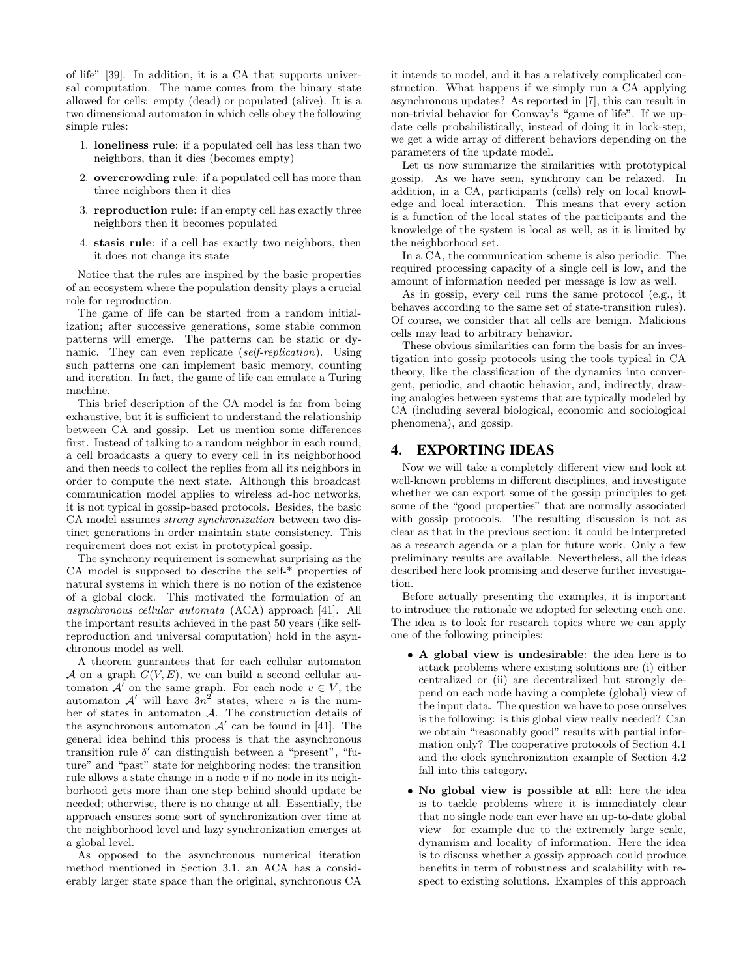of life" [39]. In addition, it is a CA that supports universal computation. The name comes from the binary state allowed for cells: empty (dead) or populated (alive). It is a two dimensional automaton in which cells obey the following simple rules:

- 1. loneliness rule: if a populated cell has less than two neighbors, than it dies (becomes empty)
- 2. overcrowding rule: if a populated cell has more than three neighbors then it dies
- 3. reproduction rule: if an empty cell has exactly three neighbors then it becomes populated
- 4. stasis rule: if a cell has exactly two neighbors, then it does not change its state

Notice that the rules are inspired by the basic properties of an ecosystem where the population density plays a crucial role for reproduction.

The game of life can be started from a random initialization; after successive generations, some stable common patterns will emerge. The patterns can be static or dynamic. They can even replicate (self-replication). Using such patterns one can implement basic memory, counting and iteration. In fact, the game of life can emulate a Turing machine.

This brief description of the CA model is far from being exhaustive, but it is sufficient to understand the relationship between CA and gossip. Let us mention some differences first. Instead of talking to a random neighbor in each round, a cell broadcasts a query to every cell in its neighborhood and then needs to collect the replies from all its neighbors in order to compute the next state. Although this broadcast communication model applies to wireless ad-hoc networks, it is not typical in gossip-based protocols. Besides, the basic CA model assumes strong synchronization between two distinct generations in order maintain state consistency. This requirement does not exist in prototypical gossip.

The synchrony requirement is somewhat surprising as the CA model is supposed to describe the self-\* properties of natural systems in which there is no notion of the existence of a global clock. This motivated the formulation of an asynchronous cellular automata (ACA) approach [41]. All the important results achieved in the past 50 years (like selfreproduction and universal computation) hold in the asynchronous model as well.

A theorem guarantees that for each cellular automaton A on a graph  $G(V, E)$ , we can build a second cellular automaton  $\mathcal{A}'$  on the same graph. For each node  $v \in V$ , the automaton  $\mathcal{A}'$  will have  $\overline{3n^2}$  states, where *n* is the number of states in automaton A. The construction details of the asynchronous automaton  $\mathcal{A}'$  can be found in [41]. The general idea behind this process is that the asynchronous transition rule  $\delta'$  can distinguish between a "present", "future" and "past" state for neighboring nodes; the transition rule allows a state change in a node  $v$  if no node in its neighborhood gets more than one step behind should update be needed; otherwise, there is no change at all. Essentially, the approach ensures some sort of synchronization over time at the neighborhood level and lazy synchronization emerges at a global level.

As opposed to the asynchronous numerical iteration method mentioned in Section 3.1, an ACA has a considerably larger state space than the original, synchronous CA

it intends to model, and it has a relatively complicated construction. What happens if we simply run a CA applying asynchronous updates? As reported in [7], this can result in non-trivial behavior for Conway's "game of life". If we update cells probabilistically, instead of doing it in lock-step, we get a wide array of different behaviors depending on the parameters of the update model.

Let us now summarize the similarities with prototypical gossip. As we have seen, synchrony can be relaxed. In addition, in a CA, participants (cells) rely on local knowledge and local interaction. This means that every action is a function of the local states of the participants and the knowledge of the system is local as well, as it is limited by the neighborhood set.

In a CA, the communication scheme is also periodic. The required processing capacity of a single cell is low, and the amount of information needed per message is low as well.

As in gossip, every cell runs the same protocol (e.g., it behaves according to the same set of state-transition rules). Of course, we consider that all cells are benign. Malicious cells may lead to arbitrary behavior.

These obvious similarities can form the basis for an investigation into gossip protocols using the tools typical in CA theory, like the classification of the dynamics into convergent, periodic, and chaotic behavior, and, indirectly, drawing analogies between systems that are typically modeled by CA (including several biological, economic and sociological phenomena), and gossip.

## **4. EXPORTING IDEAS**

Now we will take a completely different view and look at well-known problems in different disciplines, and investigate whether we can export some of the gossip principles to get some of the "good properties" that are normally associated with gossip protocols. The resulting discussion is not as clear as that in the previous section: it could be interpreted as a research agenda or a plan for future work. Only a few preliminary results are available. Nevertheless, all the ideas described here look promising and deserve further investigation.

Before actually presenting the examples, it is important to introduce the rationale we adopted for selecting each one. The idea is to look for research topics where we can apply one of the following principles:

- A global view is undesirable: the idea here is to attack problems where existing solutions are (i) either centralized or (ii) are decentralized but strongly depend on each node having a complete (global) view of the input data. The question we have to pose ourselves is the following: is this global view really needed? Can we obtain "reasonably good" results with partial information only? The cooperative protocols of Section 4.1 and the clock synchronization example of Section 4.2 fall into this category.
- No global view is possible at all: here the idea is to tackle problems where it is immediately clear that no single node can ever have an up-to-date global view—for example due to the extremely large scale, dynamism and locality of information. Here the idea is to discuss whether a gossip approach could produce benefits in term of robustness and scalability with respect to existing solutions. Examples of this approach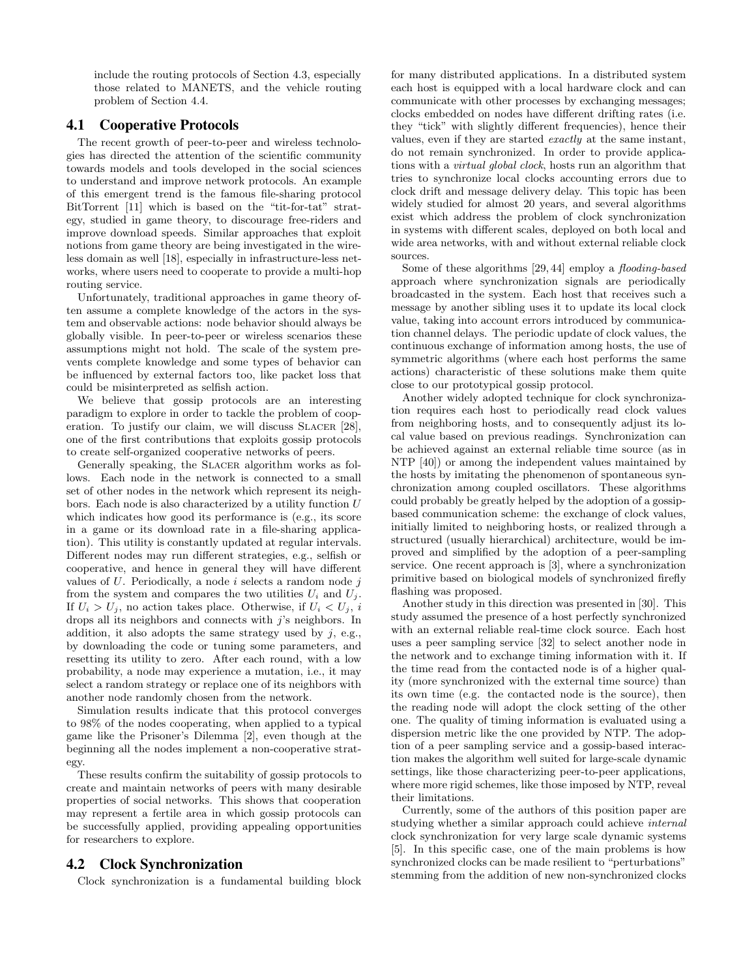include the routing protocols of Section 4.3, especially those related to MANETS, and the vehicle routing problem of Section 4.4.

### **4.1 Cooperative Protocols**

The recent growth of peer-to-peer and wireless technologies has directed the attention of the scientific community towards models and tools developed in the social sciences to understand and improve network protocols. An example of this emergent trend is the famous file-sharing protocol BitTorrent [11] which is based on the "tit-for-tat" strategy, studied in game theory, to discourage free-riders and improve download speeds. Similar approaches that exploit notions from game theory are being investigated in the wireless domain as well [18], especially in infrastructure-less networks, where users need to cooperate to provide a multi-hop routing service.

Unfortunately, traditional approaches in game theory often assume a complete knowledge of the actors in the system and observable actions: node behavior should always be globally visible. In peer-to-peer or wireless scenarios these assumptions might not hold. The scale of the system prevents complete knowledge and some types of behavior can be influenced by external factors too, like packet loss that could be misinterpreted as selfish action.

We believe that gossip protocols are an interesting paradigm to explore in order to tackle the problem of cooperation. To justify our claim, we will discuss SLACER [28], one of the first contributions that exploits gossip protocols to create self-organized cooperative networks of peers.

Generally speaking, the SLACER algorithm works as follows. Each node in the network is connected to a small set of other nodes in the network which represent its neighbors. Each node is also characterized by a utility function  $U$ which indicates how good its performance is (e.g., its score in a game or its download rate in a file-sharing application). This utility is constantly updated at regular intervals. Different nodes may run different strategies, e.g., selfish or cooperative, and hence in general they will have different values of  $U$ . Periodically, a node  $i$  selects a random node  $j$ from the system and compares the two utilities  $U_i$  and  $U_j$ . If  $U_i > U_j$ , no action takes place. Otherwise, if  $U_i < U_j$ , i drops all its neighbors and connects with j's neighbors. In addition, it also adopts the same strategy used by  $j$ , e.g., by downloading the code or tuning some parameters, and resetting its utility to zero. After each round, with a low probability, a node may experience a mutation, i.e., it may select a random strategy or replace one of its neighbors with another node randomly chosen from the network.

Simulation results indicate that this protocol converges to 98% of the nodes cooperating, when applied to a typical game like the Prisoner's Dilemma [2], even though at the beginning all the nodes implement a non-cooperative strategy.

These results confirm the suitability of gossip protocols to create and maintain networks of peers with many desirable properties of social networks. This shows that cooperation may represent a fertile area in which gossip protocols can be successfully applied, providing appealing opportunities for researchers to explore.

#### **4.2 Clock Synchronization**

Clock synchronization is a fundamental building block

for many distributed applications. In a distributed system each host is equipped with a local hardware clock and can communicate with other processes by exchanging messages; clocks embedded on nodes have different drifting rates (i.e. they "tick" with slightly different frequencies), hence their values, even if they are started exactly at the same instant, do not remain synchronized. In order to provide applications with a virtual global clock, hosts run an algorithm that tries to synchronize local clocks accounting errors due to clock drift and message delivery delay. This topic has been widely studied for almost 20 years, and several algorithms exist which address the problem of clock synchronization in systems with different scales, deployed on both local and wide area networks, with and without external reliable clock sources.

Some of these algorithms [29, 44] employ a flooding-based approach where synchronization signals are periodically broadcasted in the system. Each host that receives such a message by another sibling uses it to update its local clock value, taking into account errors introduced by communication channel delays. The periodic update of clock values, the continuous exchange of information among hosts, the use of symmetric algorithms (where each host performs the same actions) characteristic of these solutions make them quite close to our prototypical gossip protocol.

Another widely adopted technique for clock synchronization requires each host to periodically read clock values from neighboring hosts, and to consequently adjust its local value based on previous readings. Synchronization can be achieved against an external reliable time source (as in NTP [40]) or among the independent values maintained by the hosts by imitating the phenomenon of spontaneous synchronization among coupled oscillators. These algorithms could probably be greatly helped by the adoption of a gossipbased communication scheme: the exchange of clock values, initially limited to neighboring hosts, or realized through a structured (usually hierarchical) architecture, would be improved and simplified by the adoption of a peer-sampling service. One recent approach is [3], where a synchronization primitive based on biological models of synchronized firefly flashing was proposed.

Another study in this direction was presented in [30]. This study assumed the presence of a host perfectly synchronized with an external reliable real-time clock source. Each host uses a peer sampling service [32] to select another node in the network and to exchange timing information with it. If the time read from the contacted node is of a higher quality (more synchronized with the external time source) than its own time (e.g. the contacted node is the source), then the reading node will adopt the clock setting of the other one. The quality of timing information is evaluated using a dispersion metric like the one provided by NTP. The adoption of a peer sampling service and a gossip-based interaction makes the algorithm well suited for large-scale dynamic settings, like those characterizing peer-to-peer applications, where more rigid schemes, like those imposed by NTP, reveal their limitations.

Currently, some of the authors of this position paper are studying whether a similar approach could achieve internal clock synchronization for very large scale dynamic systems [5]. In this specific case, one of the main problems is how synchronized clocks can be made resilient to "perturbations" stemming from the addition of new non-synchronized clocks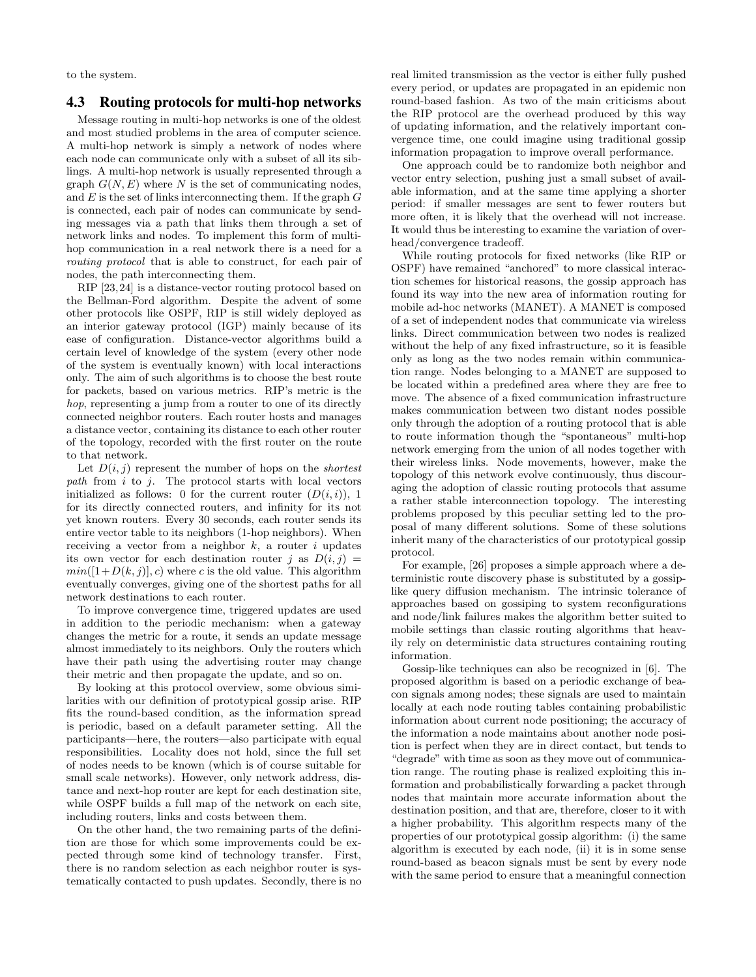to the system.

#### **4.3 Routing protocols for multi-hop networks**

Message routing in multi-hop networks is one of the oldest and most studied problems in the area of computer science. A multi-hop network is simply a network of nodes where each node can communicate only with a subset of all its siblings. A multi-hop network is usually represented through a graph  $G(N, E)$  where N is the set of communicating nodes, and  $E$  is the set of links interconnecting them. If the graph  $G$ is connected, each pair of nodes can communicate by sending messages via a path that links them through a set of network links and nodes. To implement this form of multihop communication in a real network there is a need for a routing protocol that is able to construct, for each pair of nodes, the path interconnecting them.

RIP [23,24] is a distance-vector routing protocol based on the Bellman-Ford algorithm. Despite the advent of some other protocols like OSPF, RIP is still widely deployed as an interior gateway protocol (IGP) mainly because of its ease of configuration. Distance-vector algorithms build a certain level of knowledge of the system (every other node of the system is eventually known) with local interactions only. The aim of such algorithms is to choose the best route for packets, based on various metrics. RIP's metric is the hop, representing a jump from a router to one of its directly connected neighbor routers. Each router hosts and manages a distance vector, containing its distance to each other router of the topology, recorded with the first router on the route to that network.

Let  $D(i, j)$  represent the number of hops on the *shortest* path from  $i$  to  $j$ . The protocol starts with local vectors initialized as follows: 0 for the current router  $(D(i, i))$ , 1 for its directly connected routers, and infinity for its not yet known routers. Every 30 seconds, each router sends its entire vector table to its neighbors (1-hop neighbors). When receiving a vector from a neighbor  $k$ , a router i updates its own vector for each destination router j as  $D(i, j)$  =  $min([1+D(k, j)], c)$  where c is the old value. This algorithm eventually converges, giving one of the shortest paths for all network destinations to each router.

To improve convergence time, triggered updates are used in addition to the periodic mechanism: when a gateway changes the metric for a route, it sends an update message almost immediately to its neighbors. Only the routers which have their path using the advertising router may change their metric and then propagate the update, and so on.

By looking at this protocol overview, some obvious similarities with our definition of prototypical gossip arise. RIP fits the round-based condition, as the information spread is periodic, based on a default parameter setting. All the participants—here, the routers—also participate with equal responsibilities. Locality does not hold, since the full set of nodes needs to be known (which is of course suitable for small scale networks). However, only network address, distance and next-hop router are kept for each destination site, while OSPF builds a full map of the network on each site, including routers, links and costs between them.

On the other hand, the two remaining parts of the definition are those for which some improvements could be expected through some kind of technology transfer. First, there is no random selection as each neighbor router is systematically contacted to push updates. Secondly, there is no real limited transmission as the vector is either fully pushed every period, or updates are propagated in an epidemic non round-based fashion. As two of the main criticisms about the RIP protocol are the overhead produced by this way of updating information, and the relatively important convergence time, one could imagine using traditional gossip information propagation to improve overall performance.

One approach could be to randomize both neighbor and vector entry selection, pushing just a small subset of available information, and at the same time applying a shorter period: if smaller messages are sent to fewer routers but more often, it is likely that the overhead will not increase. It would thus be interesting to examine the variation of overhead/convergence tradeoff.

While routing protocols for fixed networks (like RIP or OSPF) have remained "anchored" to more classical interaction schemes for historical reasons, the gossip approach has found its way into the new area of information routing for mobile ad-hoc networks (MANET). A MANET is composed of a set of independent nodes that communicate via wireless links. Direct communication between two nodes is realized without the help of any fixed infrastructure, so it is feasible only as long as the two nodes remain within communication range. Nodes belonging to a MANET are supposed to be located within a predefined area where they are free to move. The absence of a fixed communication infrastructure makes communication between two distant nodes possible only through the adoption of a routing protocol that is able to route information though the "spontaneous" multi-hop network emerging from the union of all nodes together with their wireless links. Node movements, however, make the topology of this network evolve continuously, thus discouraging the adoption of classic routing protocols that assume a rather stable interconnection topology. The interesting problems proposed by this peculiar setting led to the proposal of many different solutions. Some of these solutions inherit many of the characteristics of our prototypical gossip protocol.

For example, [26] proposes a simple approach where a deterministic route discovery phase is substituted by a gossiplike query diffusion mechanism. The intrinsic tolerance of approaches based on gossiping to system reconfigurations and node/link failures makes the algorithm better suited to mobile settings than classic routing algorithms that heavily rely on deterministic data structures containing routing information.

Gossip-like techniques can also be recognized in [6]. The proposed algorithm is based on a periodic exchange of beacon signals among nodes; these signals are used to maintain locally at each node routing tables containing probabilistic information about current node positioning; the accuracy of the information a node maintains about another node position is perfect when they are in direct contact, but tends to "degrade" with time as soon as they move out of communication range. The routing phase is realized exploiting this information and probabilistically forwarding a packet through nodes that maintain more accurate information about the destination position, and that are, therefore, closer to it with a higher probability. This algorithm respects many of the properties of our prototypical gossip algorithm: (i) the same algorithm is executed by each node, (ii) it is in some sense round-based as beacon signals must be sent by every node with the same period to ensure that a meaningful connection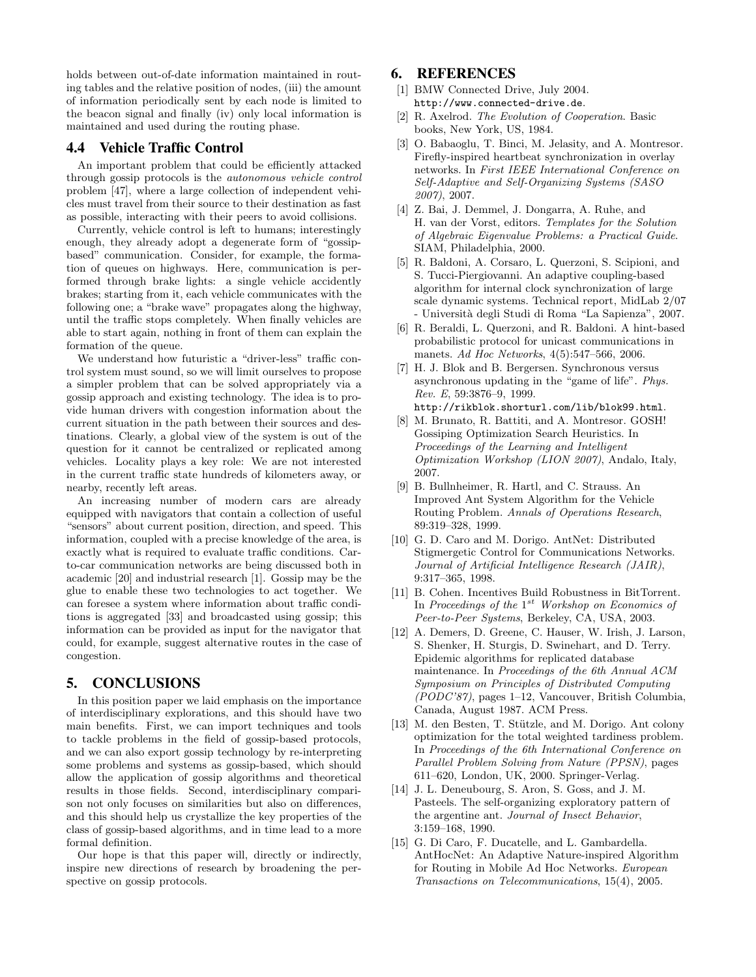holds between out-of-date information maintained in routing tables and the relative position of nodes, (iii) the amount of information periodically sent by each node is limited to the beacon signal and finally (iv) only local information is maintained and used during the routing phase.

### **4.4 Vehicle Traffic Control**

An important problem that could be efficiently attacked through gossip protocols is the autonomous vehicle control problem [47], where a large collection of independent vehicles must travel from their source to their destination as fast as possible, interacting with their peers to avoid collisions.

Currently, vehicle control is left to humans; interestingly enough, they already adopt a degenerate form of "gossipbased" communication. Consider, for example, the formation of queues on highways. Here, communication is performed through brake lights: a single vehicle accidently brakes; starting from it, each vehicle communicates with the following one; a "brake wave" propagates along the highway, until the traffic stops completely. When finally vehicles are able to start again, nothing in front of them can explain the formation of the queue.

We understand how futuristic a "driver-less" traffic control system must sound, so we will limit ourselves to propose a simpler problem that can be solved appropriately via a gossip approach and existing technology. The idea is to provide human drivers with congestion information about the current situation in the path between their sources and destinations. Clearly, a global view of the system is out of the question for it cannot be centralized or replicated among vehicles. Locality plays a key role: We are not interested in the current traffic state hundreds of kilometers away, or nearby, recently left areas.

An increasing number of modern cars are already equipped with navigators that contain a collection of useful "sensors" about current position, direction, and speed. This information, coupled with a precise knowledge of the area, is exactly what is required to evaluate traffic conditions. Carto-car communication networks are being discussed both in academic [20] and industrial research [1]. Gossip may be the glue to enable these two technologies to act together. We can foresee a system where information about traffic conditions is aggregated [33] and broadcasted using gossip; this information can be provided as input for the navigator that could, for example, suggest alternative routes in the case of congestion.

## **5. CONCLUSIONS**

In this position paper we laid emphasis on the importance of interdisciplinary explorations, and this should have two main benefits. First, we can import techniques and tools to tackle problems in the field of gossip-based protocols, and we can also export gossip technology by re-interpreting some problems and systems as gossip-based, which should allow the application of gossip algorithms and theoretical results in those fields. Second, interdisciplinary comparison not only focuses on similarities but also on differences, and this should help us crystallize the key properties of the class of gossip-based algorithms, and in time lead to a more formal definition.

Our hope is that this paper will, directly or indirectly, inspire new directions of research by broadening the perspective on gossip protocols.

## **6. REFERENCES**

- [1] BMW Connected Drive, July 2004. http://www.connected-drive.de.
- [2] R. Axelrod. The Evolution of Cooperation. Basic books, New York, US, 1984.
- [3] O. Babaoglu, T. Binci, M. Jelasity, and A. Montresor. Firefly-inspired heartbeat synchronization in overlay networks. In First IEEE International Conference on Self-Adaptive and Self-Organizing Systems (SASO 2007), 2007.
- [4] Z. Bai, J. Demmel, J. Dongarra, A. Ruhe, and H. van der Vorst, editors. Templates for the Solution of Algebraic Eigenvalue Problems: a Practical Guide. SIAM, Philadelphia, 2000.
- [5] R. Baldoni, A. Corsaro, L. Querzoni, S. Scipioni, and S. Tucci-Piergiovanni. An adaptive coupling-based algorithm for internal clock synchronization of large scale dynamic systems. Technical report, MidLab 2/07 - Universit`a degli Studi di Roma "La Sapienza", 2007.
- [6] R. Beraldi, L. Querzoni, and R. Baldoni. A hint-based probabilistic protocol for unicast communications in manets. Ad Hoc Networks, 4(5):547–566, 2006.
- [7] H. J. Blok and B. Bergersen. Synchronous versus asynchronous updating in the "game of life". Phys. Rev. E, 59:3876–9, 1999. http://rikblok.shorturl.com/lib/blok99.html.
- [8] M. Brunato, R. Battiti, and A. Montresor. GOSH! Gossiping Optimization Search Heuristics. In Proceedings of the Learning and Intelligent Optimization Workshop (LION 2007), Andalo, Italy, 2007.
- [9] B. Bullnheimer, R. Hartl, and C. Strauss. An Improved Ant System Algorithm for the Vehicle Routing Problem. Annals of Operations Research, 89:319–328, 1999.
- [10] G. D. Caro and M. Dorigo. AntNet: Distributed Stigmergetic Control for Communications Networks. Journal of Artificial Intelligence Research (JAIR), 9:317–365, 1998.
- [11] B. Cohen. Incentives Build Robustness in BitTorrent. In Proceedings of the  $1^{st}$  Workshop on Economics of Peer-to-Peer Systems, Berkeley, CA, USA, 2003.
- [12] A. Demers, D. Greene, C. Hauser, W. Irish, J. Larson, S. Shenker, H. Sturgis, D. Swinehart, and D. Terry. Epidemic algorithms for replicated database maintenance. In Proceedings of the 6th Annual ACM Symposium on Principles of Distributed Computing (PODC'87), pages 1–12, Vancouver, British Columbia, Canada, August 1987. ACM Press.
- [13] M. den Besten, T. Stützle, and M. Dorigo. Ant colony optimization for the total weighted tardiness problem. In Proceedings of the 6th International Conference on Parallel Problem Solving from Nature (PPSN), pages 611–620, London, UK, 2000. Springer-Verlag.
- [14] J. L. Deneubourg, S. Aron, S. Goss, and J. M. Pasteels. The self-organizing exploratory pattern of the argentine ant. Journal of Insect Behavior, 3:159–168, 1990.
- [15] G. Di Caro, F. Ducatelle, and L. Gambardella. AntHocNet: An Adaptive Nature-inspired Algorithm for Routing in Mobile Ad Hoc Networks. European Transactions on Telecommunications, 15(4), 2005.